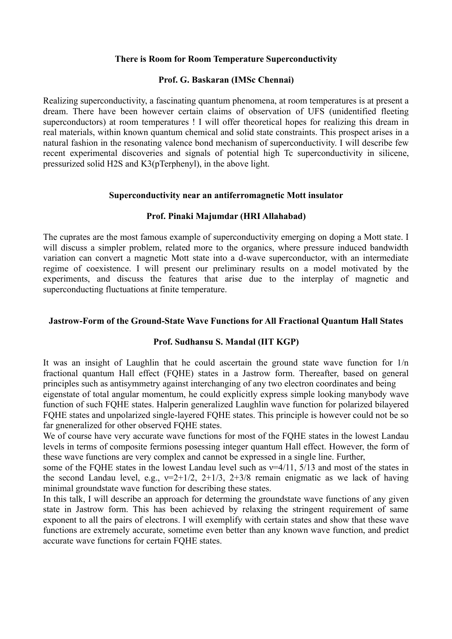### **There is Room for Room Temperature Superconductivity**

# **Prof. G. Baskaran (IMSc Chennai)**

Realizing superconductivity, a fascinating quantum phenomena, at room temperatures is at present a dream. There have been however certain claims of observation of UFS (unidentified fleeting superconductors) at room temperatures ! I will offer theoretical hopes for realizing this dream in real materials, within known quantum chemical and solid state constraints. This prospect arises in a natural fashion in the resonating valence bond mechanism of superconductivity. I will describe few recent experimental discoveries and signals of potential high Tc superconductivity in silicene, pressurized solid H2S and K3(pTerphenyl), in the above light.

#### **Superconductivity near an antiferromagnetic Mott insulator**

# **Prof. Pinaki Majumdar (HRI Allahabad)**

The cuprates are the most famous example of superconductivity emerging on doping a Mott state. I will discuss a simpler problem, related more to the organics, where pressure induced bandwidth variation can convert a magnetic Mott state into a d-wave superconductor, with an intermediate regime of coexistence. I will present our preliminary results on a model motivated by the experiments, and discuss the features that arise due to the interplay of magnetic and superconducting fluctuations at finite temperature.

#### **Jastrow-Form of the Ground-State Wave Functions for All Fractional Quantum Hall States**

#### **Prof. Sudhansu S. Mandal (IIT KGP)**

It was an insight of Laughlin that he could ascertain the ground state wave function for 1/n fractional quantum Hall effect (FQHE) states in a Jastrow form. Thereafter, based on general principles such as antisymmetry against interchanging of any two electron coordinates and being eigenstate of total angular momentum, he could explicitly express simple looking manybody wave

function of such FQHE states. Halperin generalized Laughlin wave function for polarized bilayered FQHE states and unpolarized single-layered FQHE states. This principle is however could not be so far gneneralized for other observed FQHE states.

We of course have very accurate wave functions for most of the FOHE states in the lowest Landau levels in terms of composite fermions posessing integer quantum Hall effect. However, the form of these wave functions are very complex and cannot be expressed in a single line. Further,

some of the FOHE states in the lowest Landau level such as  $v=4/11$ ,  $5/13$  and most of the states in the second Landau level, e.g.,  $v=2+1/2$ ,  $2+1/3$ ,  $2+3/8$  remain enigmatic as we lack of having minimal groundstate wave function for describing these states.

In this talk, I will describe an approach for determing the groundstate wave functions of any given state in Jastrow form. This has been achieved by relaxing the stringent requirement of same exponent to all the pairs of electrons. I will exemplify with certain states and show that these wave functions are extremely accurate, sometime even better than any known wave function, and predict accurate wave functions for certain FQHE states.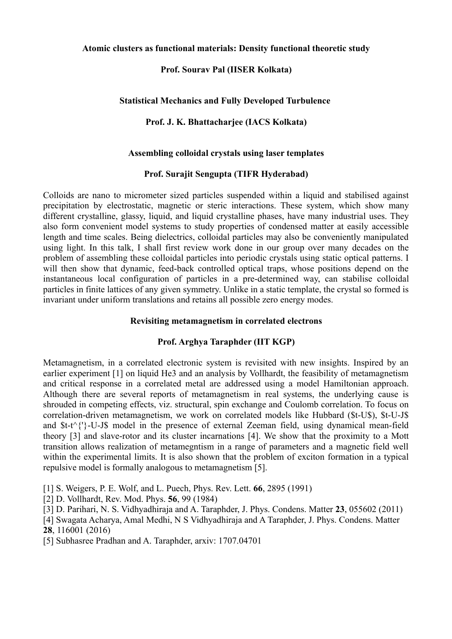### **Atomic clusters as functional materials: Density functional theoretic study**

# **Prof. Sourav Pal (IISER Kolkata)**

# **Statistical Mechanics and Fully Developed Turbulence**

# **Prof. J. K. Bhattacharjee (IACS Kolkata)**

# **Assembling colloidal crystals using laser templates**

# **Prof. Surajit Sengupta (TIFR Hyderabad)**

Colloids are nano to micrometer sized particles suspended within a liquid and stabilised against precipitation by electrostatic, magnetic or steric interactions. These system, which show many different crystalline, glassy, liquid, and liquid crystalline phases, have many industrial uses. They also form convenient model systems to study properties of condensed matter at easily accessible length and time scales. Being dielectrics, colloidal particles may also be conveniently manipulated using light. In this talk, I shall first review work done in our group over many decades on the problem of assembling these colloidal particles into periodic crystals using static optical patterns. I will then show that dynamic, feed-back controlled optical traps, whose positions depend on the instantaneous local configuration of particles in a pre-determined way, can stabilise colloidal particles in finite lattices of any given symmetry. Unlike in a static template, the crystal so formed is invariant under uniform translations and retains all possible zero energy modes.

# **Revisiting metamagnetism in correlated electrons**

# **Prof. Arghya Taraphder (IIT KGP)**

Metamagnetism, in a correlated electronic system is revisited with new insights. Inspired by an earlier experiment [1] on liquid He3 and an analysis by Vollhardt, the feasibility of metamagnetism and critical response in a correlated metal are addressed using a model Hamiltonian approach. Although there are several reports of metamagnetism in real systems, the underlying cause is shrouded in competing effects, viz. structural, spin exchange and Coulomb correlation. To focus on correlation-driven metamagnetism, we work on correlated models like Hubbard (\$t-U\$), \$t-U-J\$ and \$t-t^{'}-U-J\$ model in the presence of external Zeeman field, using dynamical mean-field theory [3] and slave-rotor and its cluster incarnations [4]. We show that the proximity to a Mott transition allows realization of metamegntism in a range of parameters and a magnetic field well within the experimental limits. It is also shown that the problem of exciton formation in a typical repulsive model is formally analogous to metamagnetism [5].

[1] S. Weigers, P. E. Wolf, and L. Puech, Phys. Rev. Lett. **66**, 2895 (1991)

- [2] D. Vollhardt, Rev. Mod. Phys. **56**, 99 (1984)
- [3] D. Parihari, N. S. Vidhyadhiraja and A. Taraphder, J. Phys. Condens. Matter **23**, 055602 (2011)

[4] Swagata Acharya, Amal Medhi, N S Vidhyadhiraja and A Taraphder, J. Phys. Condens. Matter **28**, 116001 (2016)

[5] Subhasree Pradhan and A. Taraphder, arxiv: 1707.04701